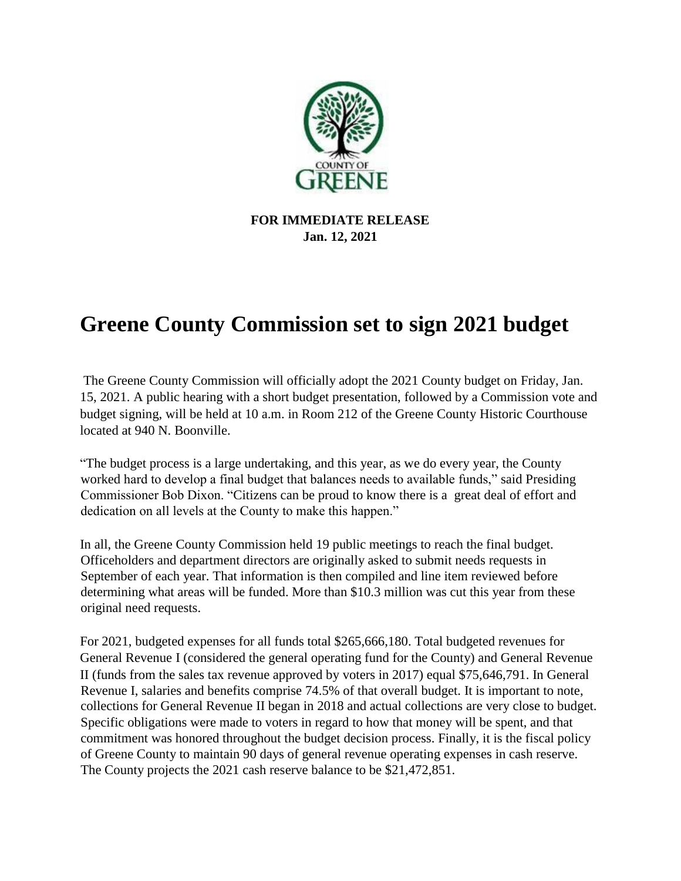

**FOR IMMEDIATE RELEASE Jan. 12, 2021**

## **Greene County Commission set to sign 2021 budget**

The Greene County Commission will officially adopt the 2021 County budget on Friday, Jan. 15, 2021. A public hearing with a short budget presentation, followed by a Commission vote and budget signing, will be held at 10 a.m. in Room 212 of the Greene County Historic Courthouse located at 940 N. Boonville.

"The budget process is a large undertaking, and this year, as we do every year, the County worked hard to develop a final budget that balances needs to available funds," said Presiding Commissioner Bob Dixon. "Citizens can be proud to know there is a great deal of effort and dedication on all levels at the County to make this happen."

In all, the Greene County Commission held 19 public meetings to reach the final budget. Officeholders and department directors are originally asked to submit needs requests in September of each year. That information is then compiled and line item reviewed before determining what areas will be funded. More than \$10.3 million was cut this year from these original need requests.

For 2021, budgeted expenses for all funds total \$265,666,180. Total budgeted revenues for General Revenue I (considered the general operating fund for the County) and General Revenue II (funds from the sales tax revenue approved by voters in 2017) equal \$75,646,791. In General Revenue I, salaries and benefits comprise 74.5% of that overall budget. It is important to note, collections for General Revenue II began in 2018 and actual collections are very close to budget. Specific obligations were made to voters in regard to how that money will be spent, and that commitment was honored throughout the budget decision process. Finally, it is the fiscal policy of Greene County to maintain 90 days of general revenue operating expenses in cash reserve. The County projects the 2021 cash reserve balance to be \$21,472,851.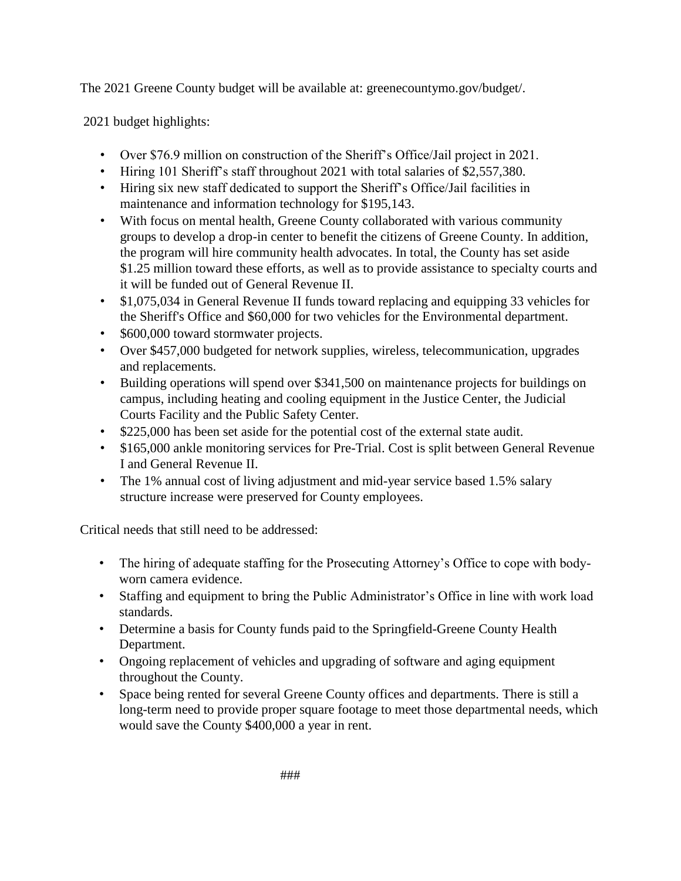The 2021 Greene County budget will be available at: greenecountymo.gov/budget/.

2021 budget highlights:

- Over \$76.9 million on construction of the Sheriff's Office/Jail project in 2021.
- Hiring 101 Sheriff's staff throughout 2021 with total salaries of \$2,557,380.
- Hiring six new staff dedicated to support the Sheriff's Office/Jail facilities in maintenance and information technology for \$195,143.
- With focus on mental health, Greene County collaborated with various community groups to develop a drop-in center to benefit the citizens of Greene County. In addition, the program will hire community health advocates. In total, the County has set aside \$1.25 million toward these efforts, as well as to provide assistance to specialty courts and it will be funded out of General Revenue II.
- \$1,075,034 in General Revenue II funds toward replacing and equipping 33 vehicles for the Sheriff's Office and \$60,000 for two vehicles for the Environmental department.
- \$600,000 toward stormwater projects.
- Over \$457,000 budgeted for network supplies, wireless, telecommunication, upgrades and replacements.
- Building operations will spend over \$341,500 on maintenance projects for buildings on campus, including heating and cooling equipment in the Justice Center, the Judicial Courts Facility and the Public Safety Center.
- \$225,000 has been set aside for the potential cost of the external state audit.
- \$165,000 ankle monitoring services for Pre-Trial. Cost is split between General Revenue I and General Revenue II.
- The 1% annual cost of living adjustment and mid-year service based 1.5% salary structure increase were preserved for County employees.

Critical needs that still need to be addressed:

- The hiring of adequate staffing for the Prosecuting Attorney's Office to cope with bodyworn camera evidence.
- Staffing and equipment to bring the Public Administrator's Office in line with work load standards.
- Determine a basis for County funds paid to the Springfield-Greene County Health Department.
- Ongoing replacement of vehicles and upgrading of software and aging equipment throughout the County.
- Space being rented for several Greene County offices and departments. There is still a long-term need to provide proper square footage to meet those departmental needs, which would save the County \$400,000 a year in rent.